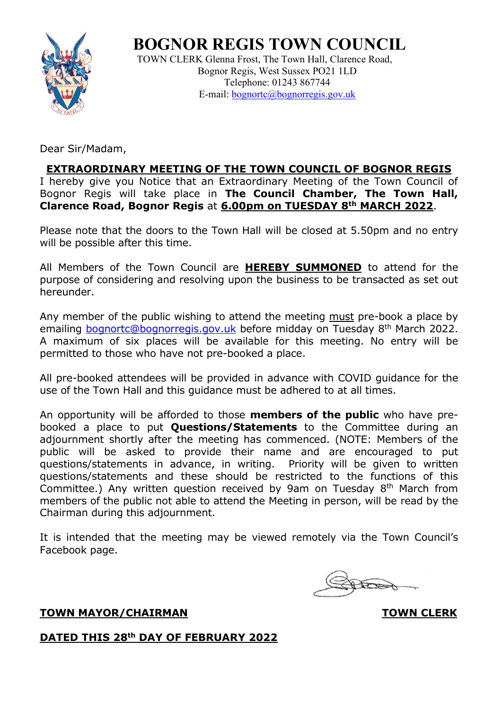

**BOGNOR REGIS TOWN COUNCIL**

 TOWN CLERK Glenna Frost, The Town Hall, Clarence Road, Bognor Regis, West Sussex PO21 1LD Telephone: 01243 867744 E-mail: [bognortc@bognorregis.gov.uk](mailto:bognortc@bognorregis.gov.uk)

Dear Sir/Madam,

## **EXTRAORDINARY MEETING OF THE TOWN COUNCIL OF BOGNOR REGIS**

I hereby give you Notice that an Extraordinary Meeting of the Town Council of Bognor Regis will take place in **The Council Chamber, The Town Hall, Clarence Road, Bognor Regis** at **6.00pm on TUESDAY 8th MARCH 2022**.

Please note that the doors to the Town Hall will be closed at 5.50pm and no entry will be possible after this time.

All Members of the Town Council are **HEREBY SUMMONED** to attend for the purpose of considering and resolving upon the business to be transacted as set out hereunder.

Any member of the public wishing to attend the meeting must pre-book a place by emailing [bognortc@bognorregis.gov.uk](mailto:bognortc@bognorregis.gov.uk) before midday on Tuesday 8<sup>th</sup> March 2022. A maximum of six places will be available for this meeting. No entry will be permitted to those who have not pre-booked a place.

All pre-booked attendees will be provided in advance with COVID guidance for the use of the Town Hall and this guidance must be adhered to at all times.

An opportunity will be afforded to those **members of the public** who have prebooked a place to put **Questions/Statements** to the Committee during an adjournment shortly after the meeting has commenced. (NOTE: Members of the public will be asked to provide their name and are encouraged to put questions/statements in advance, in writing. Priority will be given to written questions/statements and these should be restricted to the functions of this Committee.) Any written question received by 9am on Tuesday  $8<sup>th</sup>$  March from members of the public not able to attend the Meeting in person, will be read by the Chairman during this adjournment.

It is intended that the meeting may be viewed remotely via the Town Council's Facebook page.

**TOWN MAYOR/CHAIRMAN TOWN CLERK** 

## **DATED THIS 28th DAY OF FEBRUARY 2022**